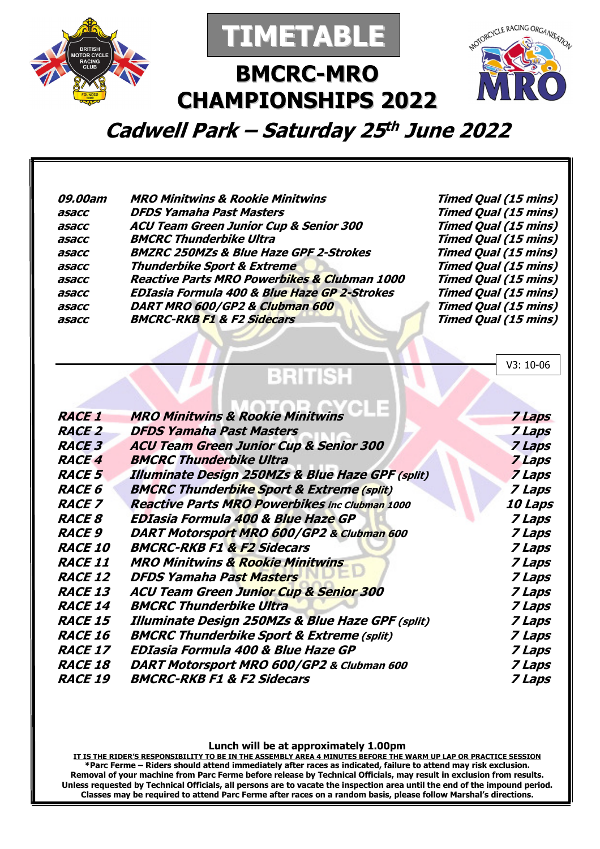



# **BMCRC-MRO CHAMPIONSHIPS 2022**



V3: 10-06

**Cadwell Park – Saturday 25 th June 2022** 

| 09.00am | <b>MRO Minitwins &amp; Rookie Minitwins</b>             | <b>Timed Qual (15 mins)</b> |
|---------|---------------------------------------------------------|-----------------------------|
| asacc   | <b>DFDS Yamaha Past Masters</b>                         | <b>Timed Qual (15 mins)</b> |
| asacc   | <b>ACU Team Green Junior Cup &amp; Senior 300</b>       | <b>Timed Qual (15 mins)</b> |
| asacc   | <b>BMCRC Thunderbike Ultra</b>                          | <b>Timed Qual (15 mins)</b> |
| asacc   | <b>BMZRC 250MZs &amp; Blue Haze GPF 2-Strokes</b>       | <b>Timed Qual (15 mins)</b> |
| asacc   | Thunderbike Sport & Extreme                             | <b>Timed Qual (15 mins)</b> |
| asacc   | <b>Reactive Parts MRO Powerbikes &amp; Clubman 1000</b> | <b>Timed Qual (15 mins)</b> |
| asacc   | <b>EDIasia Formula 400 &amp; Blue Haze GP 2-Strokes</b> | <b>Timed Qual (15 mins)</b> |
| asacc   | DART MRO 600/GP2 & Clubman 600                          | <b>Timed Qual (15 mins)</b> |
| asacc   | <b>BMCRC-RKB F1 &amp; F2 Sidecars</b>                   | <b>Timed Qual (15 mins)</b> |
|         |                                                         |                             |

### BRITISH

| <b>RACE 1</b>  | <b>MRO Minitwins &amp; Rookie Minitwins</b>                 | 7 Laps                |
|----------------|-------------------------------------------------------------|-----------------------|
| <b>RACE 2</b>  | <b>DFDS Yamaha Past Masters</b>                             | 7 Laps                |
| <b>RACE 3</b>  | <b>ACU Team Green Junior Cup &amp; Senior 300</b>           | 7 Laps                |
| <b>RACE 4</b>  | <b>BMCRC Thunderbike Ultra</b>                              | 7 Laps                |
| <b>RACE 5</b>  | <b>Illuminate Design 250MZs &amp; Blue Haze GPF (split)</b> | <b>7 Laps</b>         |
| <b>RACE 6</b>  | <b>BMCRC Thunderbike Sport &amp; Extreme (split)</b>        | 7 Laps                |
| <b>RACE 7</b>  | <b>Reactive Parts MRO Powerbikes inc Clubman 1000</b>       | <i><b>10 Laps</b></i> |
| <b>RACE 8</b>  | <b>EDIasia Formula 400 &amp; Blue Haze GP</b>               | 7 Laps                |
| <b>RACE 9</b>  | DART Motorsport MRO 600/GP2 & Clubman 600                   | 7 Laps                |
| <b>RACE 10</b> | <b>BMCRC-RKB F1 &amp; F2 Sidecars</b>                       | 7 Laps                |
| <b>RACE 11</b> | <b>MRO Minitwins &amp; Rookie Minitwins</b>                 | 7 Laps                |
| <b>RACE 12</b> | <b>DFDS Yamaha Past Masters</b>                             | 7 Laps                |
| <b>RACE 13</b> | <b>ACU Team Green Junior Cup &amp; Senior 300</b>           | 7 Laps                |
| <b>RACE 14</b> | <b>BMCRC Thunderbike Ultra</b>                              | 7 Laps                |
| <b>RACE 15</b> | <b>Illuminate Design 250MZs &amp; Blue Haze GPF (split)</b> | 7 Laps                |
| <b>RACE 16</b> | <b>BMCRC Thunderbike Sport &amp; Extreme (split)</b>        | 7 Laps                |
| <b>RACE 17</b> | EDIasia Formula 400 & Blue Haze GP                          | 7 Laps                |
| <b>RACE 18</b> | DART Motorsport MRO 600/GP2 & Clubman 600                   | 7 Laps                |
| <b>RACE 19</b> | <b>BMCRC-RKB F1 &amp; F2 Sidecars</b>                       | 7 Laps                |
|                |                                                             |                       |

#### **Lunch will be at approximately 1.00pm**

**IT IS THE RIDER'S RESPONSIBILITY TO BE IN THE ASSEMBLY AREA 4 MINUTES BEFORE THE WARM UP LAP OR PRACTICE SESSION \*Parc Ferme – Riders should attend immediately after races as indicated, failure to attend may risk exclusion. Removal of your machine from Parc Ferme before release by Technical Officials, may result in exclusion from results. Unless requested by Technical Officials, all persons are to vacate the inspection area until the end of the impound period. Classes may be required to attend Parc Ferme after races on a random basis, please follow Marshal's directions.**